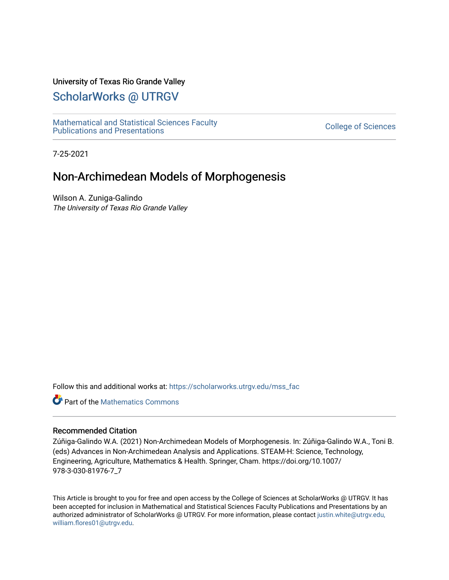# University of Texas Rio Grande Valley

# [ScholarWorks @ UTRGV](https://scholarworks.utrgv.edu/)

[Mathematical and Statistical Sciences Faculty](https://scholarworks.utrgv.edu/mss_fac)  mathematical and Statistical Sciences Faculty<br>Publications and Presentations

7-25-2021

# Non-Archimedean Models of Morphogenesis

Wilson A. Zuniga-Galindo The University of Texas Rio Grande Valley

Follow this and additional works at: [https://scholarworks.utrgv.edu/mss\\_fac](https://scholarworks.utrgv.edu/mss_fac?utm_source=scholarworks.utrgv.edu%2Fmss_fac%2F226&utm_medium=PDF&utm_campaign=PDFCoverPages) 

**Part of the [Mathematics Commons](http://network.bepress.com/hgg/discipline/174?utm_source=scholarworks.utrgv.edu%2Fmss_fac%2F226&utm_medium=PDF&utm_campaign=PDFCoverPages)** 

## Recommended Citation

Zúñiga-Galindo W.A. (2021) Non-Archimedean Models of Morphogenesis. In: Zúñiga-Galindo W.A., Toni B. (eds) Advances in Non-Archimedean Analysis and Applications. STEAM-H: Science, Technology, Engineering, Agriculture, Mathematics & Health. Springer, Cham. https://doi.org/10.1007/ 978-3-030-81976-7\_7

This Article is brought to you for free and open access by the College of Sciences at ScholarWorks @ UTRGV. It has been accepted for inclusion in Mathematical and Statistical Sciences Faculty Publications and Presentations by an authorized administrator of ScholarWorks @ UTRGV. For more information, please contact [justin.white@utrgv.edu,](mailto:justin.white@utrgv.edu,%20william.flores01@utrgv.edu)  [william.flores01@utrgv.edu](mailto:justin.white@utrgv.edu,%20william.flores01@utrgv.edu).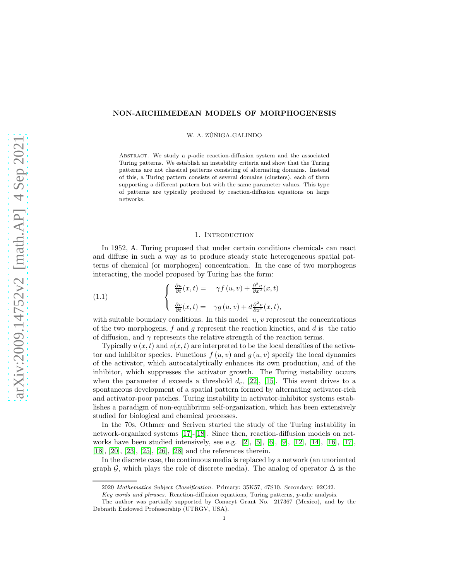#### NON-ARCHIMEDEAN MODELS OF MORPHOGENESIS

W. A. ZÚÑIGA-GALINDO

ABSTRACT. We study a p-adic reaction-diffusion system and the associated Turing patterns. We establish an instability criteria and show that the Turing patterns are not classical patterns consisting of alternating domains. Instead of this, a Turing pattern consists of several domains (clusters), each of them supporting a different pattern but with the same parameter values. This type of patterns are typically produced by reaction-diffusion equations on large networks.

#### <span id="page-1-0"></span>1. Introduction

In 1952, A. Turing proposed that under certain conditions chemicals can react and diffuse in such a way as to produce steady state heterogeneous spatial patterns of chemical (or morphogen) concentration. In the case of two morphogens interacting, the model proposed by Turing has the form:

(1.1) 
$$
\begin{cases} \frac{\partial u}{\partial t}(x,t) = \gamma f(u,v) + \frac{\partial^2 u}{\partial x^2}(x,t) \\ \frac{\partial v}{\partial t}(x,t) = \gamma g(u,v) + d\frac{\partial^2 v}{\partial x^2}(x,t), \end{cases}
$$

with suitable boundary conditions. In this model  $u, v$  represent the concentrations of the two morphogens, f and q represent the reaction kinetics, and  $d$  is the ratio of diffusion, and  $\gamma$  represents the relative strength of the reaction terms.

Typically  $u(x, t)$  and  $v(x, t)$  are interpreted to be the local densities of the activator and inhibitor species. Functions  $f(u, v)$  and  $g(u, v)$  specify the local dynamics of the activator, which autocatalytically enhances its own production, and of the inhibitor, which suppresses the activator growth. The Turing instability occurs when the parameter d exceeds a threshold  $d_c$ , [\[22\]](#page-15-0), [\[15\]](#page-15-1). This event drives to a spontaneous development of a spatial pattern formed by alternating activator-rich and activator-poor patches. Turing instability in activator-inhibitor systems establishes a paradigm of non-equilibrium self-organization, which has been extensively studied for biological and chemical processes.

In the 70s, Othmer and Scriven started the study of the Turing instability in network-organized systems [17]-[18]. Since then, reaction-diffusion models on net-works have been studied intensively, see e.g. [2], [5], [\[6\]](#page-15-2), [\[9\]](#page-15-3), [\[12\]](#page-15-4), [\[14\]](#page-15-5), [\[16\]](#page-15-6), [17], [18], [20], [23], [25], [\[26\]](#page-15-7), [\[28\]](#page-15-8) and the references therein.

In the discrete case, the continuous media is replaced by a network (an unoriented graph G, which plays the role of discrete media). The analog of operator  $\Delta$  is the

<sup>2020</sup> Mathematics Subject Classification. Primary: 35K57, 47S10. Secondary: 92C42.

Key words and phrases. Reaction-diffusion equations, Turing patterns, p-adic analysis.

The author was partially supported by Conacyt Grant No. 217367 (Mexico), and by the Debnath Endowed Professorship (UTRGV, USA).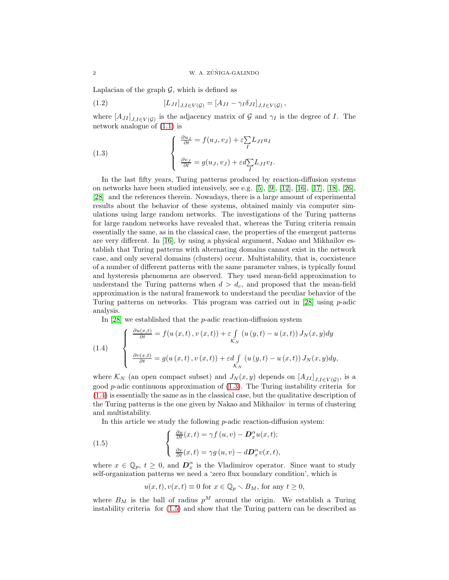Laplacian of the graph  $\mathcal{G}$ , which is defined as

(1.2) 
$$
[L_{JI}]_{J,I\in V(\mathcal{G})} = [A_{JI} - \gamma_I \delta_{JI}]_{J,I\in V(\mathcal{G})},
$$

where  $[A_{JI}]_{J,I\in V(\mathcal{G})}$  is the adjacency matrix of  $\mathcal G$  and  $\gamma_I$  is the degree of  $I$ . The network analogue of [\(1.1\)](#page-1-0) is

<span id="page-2-0"></span>(1.3) 
$$
\begin{cases} \frac{\partial u_J}{\partial t} = f(u_J, v_J) + \varepsilon \sum_I L_{JI} u_I \\ \frac{\partial v_J}{\partial t} = g(u_J, v_J) + \varepsilon d \sum_I L_{JI} v_I. \end{cases}
$$

In the last fifty years, Turing patterns produced by reaction-diffusion systems on networks have been studied intensively, see e.g.  $[5]$ ,  $[9]$ ,  $[12]$ ,  $[16]$ ,  $[17]$ ,  $[18]$ ,  $[26]$ , [\[28\]](#page-15-8) and the references therein. Nowadays, there is a large amount of experimental results about the behavior of these systems, obtained mainly via computer simulations using large random networks. The investigations of the Turing patterns for large random networks have revealed that, whereas the Turing criteria remain essentially the same, as in the classical case, the properties of the emergent patterns are very different. In [\[16\]](#page-15-6), by using a physical argument, Nakao and Mikhailov establish that Turing patterns with alternating domains cannot exist in the network case, and only several domains (clusters) occur. Multistability, that is, coexistence of a number of different patterns with the same parameter values, is typically found and hysteresis phenomena are observed. They used mean-field approximation to understand the Turing patterns when  $d > d_c$ , and proposed that the mean-field approximation is the natural framework to understand the peculiar behavior of the Turing patterns on networks. This program was carried out in  $[28]$  using p-adic analysis.

In  $[28]$  we established that the *p*-adic reaction-diffusion system

<span id="page-2-1"></span>(1.4) 
$$
\begin{cases} \frac{\partial u(x,t)}{\partial t} = f(u(x,t), v(x,t)) + \varepsilon \int_{K_N} (u(y,t) - u(x,t)) J_N(x,y) dy \\ \frac{\partial v(x,t)}{\partial t} = g(u(x,t), v(x,t)) + \varepsilon d \int_{K_N} (u(y,t) - u(x,t)) J_N(x,y) dy, \end{cases}
$$

where  $\mathcal{K}_N$  (an open compact subset) and  $J_N(x, y)$  depends on  $[A_{JI}]_{J, I \in V(\mathcal{G})}$ , is a good  $p$ -adic continuous approximation of  $(1.3)$ . The Turing instability criteria for [\(1.4\)](#page-2-1) is essentially the same as in the classical case, but the qualitative description of the Turing patterns is the one given by Nakao and Mikhailov in terms of clustering and multistability.

In this article we study the following  $p$ -adic reaction-diffusion system:

(1.5) 
$$
\begin{cases} \frac{\partial u}{\partial t}(x,t) = \gamma f(u,v) - \mathbf{D}_x^{\alpha} u(x,t); \\ \frac{\partial v}{\partial t}(x,t) = \gamma g(u,v) - d\mathbf{D}_x^{\alpha} v(x,t), \end{cases}
$$

where  $x \in \mathbb{Q}_p$ ,  $t \geq 0$ , and  $\mathbf{D}_x^{\alpha}$  is the Vladimirov operator. Since want to study self-organization patterns we need a 'zero flux boundary condition', which is

<span id="page-2-2"></span>
$$
u(x,t), v(x,t) \equiv 0
$$
 for  $x \in \mathbb{Q}_p \setminus B_M$ , for any  $t \ge 0$ ,

where  $B_M$  is the ball of radius  $p^M$  around the origin. We establish a Turing instability criteria for [\(1.5\)](#page-2-2) and show that the Turing pattern can be described as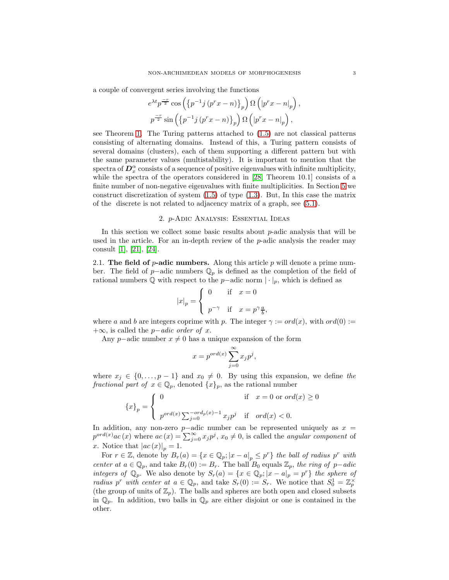a couple of convergent series involving the functions

$$
e^{\lambda t}p^{\frac{-r}{2}}\cos\left(\left\{p^{-1}j\left(p^r x - n\right)\right\}_p\right)\Omega\left(\left|p^r x - n\right|_p\right),
$$
  

$$
p^{\frac{-r}{2}}\sin\left(\left\{p^{-1}j\left(p^r x - n\right)\right\}_p\right)\Omega\left(\left|p^r x - n\right|_p\right),
$$

see Theorem [1.](#page-11-0) The Turing patterns attached to [\(1.5\)](#page-2-2) are not classical patterns consisting of alternating domains. Instead of this, a Turing pattern consists of several domains (clusters), each of them supporting a different pattern but with the same parameter values (multistability). It is important to mention that the spectra of  $\overline{D}_{x}^{\alpha}$  consists of a sequence of positive eigenvalues with infinite multiplicity, while the spectra of the operators considered in [\[28,](#page-15-8) Theorem 10.1] consists of a finite number of non-negative eigenvalues with finite multiplicities. In Section [5](#page-11-1) we construct discretization of system [\(1.5\)](#page-2-2) of type [\(1.3\)](#page-2-0). But, In this case the matrix of the discrete is not related to adjacency matrix of a graph, see [\(5.1\)](#page-13-0).

#### 2. p-Adic Analysis: Essential Ideas

In this section we collect some basic results about p-adic analysis that will be used in the article. For an in-depth review of the  $p$ -adic analysis the reader may consult [1], [\[21\]](#page-15-9), [\[24\]](#page-15-10).

2.1. The field of  $p$ -adic numbers. Along this article p will denote a prime number. The field of p−adic numbers  $\mathbb{Q}_p$  is defined as the completion of the field of rational numbers  $\mathbb Q$  with respect to the p−adic norm  $|\cdot|_p$ , which is defined as

$$
|x|_p = \begin{cases} 0 & \text{if} \quad x = 0 \\ p^{-\gamma} & \text{if} \quad x = p^{\gamma} \frac{a}{b}, \end{cases}
$$

where a and b are integers coprime with p. The integer  $\gamma := ord(x)$ , with  $ord(0) :=$  $+\infty$ , is called the *p*−*adic order of x*.

Any p–adic number  $x \neq 0$  has a unique expansion of the form

$$
x=p^{ord(x)}\sum_{j=0}^{\infty}x_jp^j,
$$

where  $x_j \in \{0, \ldots, p-1\}$  and  $x_0 \neq 0$ . By using this expansion, we define the fractional part of  $x \in \mathbb{Q}_p$ , denoted  $\{x\}_p$ , as the rational number

$$
\{x\}_p = \begin{cases} 0 & \text{if } x = 0 \text{ or } ord(x) \ge 0 \\ p^{ord(x)} \sum_{j=0}^{-ord_p(x)-1} x_j p^j & \text{if } ord(x) < 0. \end{cases}
$$

In addition, any non-zero p–adic number can be represented uniquely as  $x =$  $p^{ord(x)}ac(x)$  where  $ac(x) = \sum_{j=0}^{\infty} x_j p^j$ ,  $x_0 \neq 0$ , is called the *angular component* of x. Notice that  $|ac(x)|_p = 1$ .

For  $r \in \mathbb{Z}$ , denote by  $B_r(a) = \{x \in \mathbb{Q}_p; |x - a|_p \leq p^r\}$  the ball of radius  $p^r$  with center at  $a \in \mathbb{Q}_p$ , and take  $B_r(0) := B_r$ . The ball  $B_0$  equals  $\mathbb{Z}_p$ , the ring of p–adic integers of  $\mathbb{Q}_p$ . We also denote by  $S_r(a) = \{x \in \mathbb{Q}_p; |x-a|_p = p^r\}$  the sphere of radius p<sup>r</sup> with center at  $a \in \mathbb{Q}_p$ , and take  $S_r(0) := S_r$ . We notice that  $S_0^1 = \mathbb{Z}_p^{\times}$ (the group of units of  $\mathbb{Z}_p$ ). The balls and spheres are both open and closed subsets in  $\mathbb{Q}_p$ . In addition, two balls in  $\mathbb{Q}_p$  are either disjoint or one is contained in the other.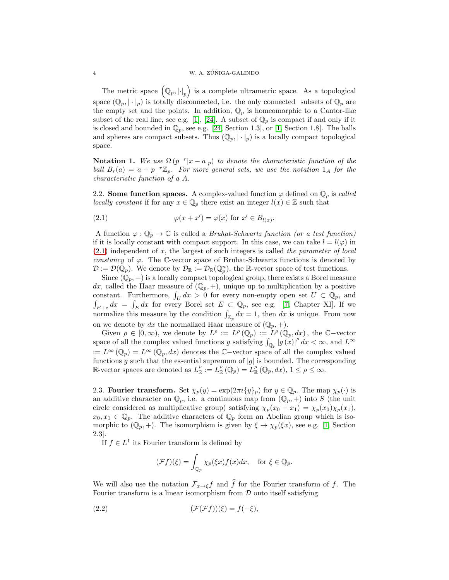The metric space  $(Q_p, |\cdot|_p)$  is a complete ultrametric space. As a topological space  $(\mathbb{Q}_p, |\cdot|_p)$  is totally disconnected, i.e. the only connected subsets of  $\mathbb{Q}_p$  are the empty set and the points. In addition,  $\mathbb{Q}_p$  is homeomorphic to a Cantor-like subset of the real line, see e.g. [1], [\[24\]](#page-15-10). A subset of  $\mathbb{Q}_p$  is compact if and only if it is closed and bounded in  $\mathbb{Q}_p$ , see e.g. [\[24,](#page-15-10) Section 1.3], or [1, Section 1.8]. The balls and spheres are compact subsets. Thus  $(\mathbb{Q}_p, |\cdot|_p)$  is a locally compact topological space.

**Notation 1.** We use  $\Omega(p^{-r}|x-a|_p)$  to denote the characteristic function of the ball  $B_r(a) = a + p^{-r}\mathbb{Z}_p$ . For more general sets, we use the notation  $1_A$  for the characteristic function of a A.

2.2. Some function spaces. A complex-valued function  $\varphi$  defined on  $\mathbb{Q}_p$  is called locally constant if for any  $x \in \mathbb{Q}_p$  there exist an integer  $l(x) \in \mathbb{Z}$  such that

<span id="page-4-0"></span>(2.1) 
$$
\varphi(x + x') = \varphi(x) \text{ for } x' \in B_{l(x)}.
$$

A function  $\varphi : \mathbb{Q}_p \to \mathbb{C}$  is called a *Bruhat-Schwartz function (or a test function)* if it is locally constant with compact support. In this case, we can take  $l = l(\varphi)$  in  $(2.1)$  independent of x, the largest of such integers is called the parameter of local constancy of  $\varphi$ . The C-vector space of Bruhat-Schwartz functions is denoted by  $\mathcal{D} := \mathcal{D}(\mathbb{Q}_p)$ . We denote by  $\mathcal{D}_{\mathbb{R}} := \mathcal{D}_{\mathbb{R}}(\mathbb{Q}_p^n)$ , the R-vector space of test functions.

Since  $(\mathbb{Q}_p, +)$  is a locally compact topological group, there exists a Borel measure dx, called the Haar measure of  $(\mathbb{Q}_p, +)$ , unique up to multiplication by a positive constant. Furthermore,  $\int_U dx > 0$  for every non-empty open set  $U \subset \mathbb{Q}_p$ , and  $\int_{E+z} dx = \int_E dx$  for every Borel set  $E \subset \mathbb{Q}_p$ , see e.g. [\[7,](#page-15-11) Chapter XI]. If we normalize this measure by the condition  $\int_{\mathbb{Z}_p} dx = 1$ , then dx is unique. From now on we denote by dx the normalized Haar measure of  $(\mathbb{Q}_p, +)$ .

Given  $\rho \in [0, \infty)$ , we denote by  $L^{\rho} := L^{\rho}(\mathbb{Q}_p) := L^{\rho}(\mathbb{Q}_p, dx)$ , the C-vector space of all the complex valued functions g satisfying  $\int_{\mathbb{Q}_p} |g(x)|^p dx < \infty$ , and  $L^{\infty}$ :=  $L^{\infty}(\mathbb{Q}_p) = L^{\infty}(\mathbb{Q}_p, dx)$  denotes the C−vector space of all the complex valued functions g such that the essential supremum of  $|g|$  is bounded. The corresponding R-vector spaces are denoted as  $L_{\mathbb{R}}^{\rho} := L_{\mathbb{R}}^{\rho}(\mathbb{Q}_p) = L_{\mathbb{R}}^{\rho}(\mathbb{Q}_p, dx), 1 \leq \rho \leq \infty$ .

2.3. Fourier transform. Set  $\chi_p(y) = \exp(2\pi i \{y\}_p)$  for  $y \in \mathbb{Q}_p$ . The map  $\chi_p(\cdot)$  is an additive character on  $\mathbb{Q}_p$ , i.e. a continuous map from  $(\mathbb{Q}_p, +)$  into S (the unit circle considered as multiplicative group) satisfying  $\chi_p(x_0 + x_1) = \chi_p(x_0)\chi_p(x_1)$ ,  $x_0, x_1 \in \mathbb{Q}_p$ . The additive characters of  $\mathbb{Q}_p$  form an Abelian group which is isomorphic to  $(\mathbb{Q}_p, +)$ . The isomorphism is given by  $\xi \to \chi_p(\xi x)$ , see e.g. [1, Section 2.3].

If  $f \in L^1$  its Fourier transform is defined by

<span id="page-4-1"></span>
$$
(\mathcal{F}f)(\xi) = \int_{\mathbb{Q}_p} \chi_p(\xi x) f(x) dx, \quad \text{for } \xi \in \mathbb{Q}_p.
$$

We will also use the notation  $\mathcal{F}_{x\to \xi}f$  and  $\hat{f}$  for the Fourier transform of f. The Fourier transform is a linear isomorphism from  $D$  onto itself satisfying

(2.2) 
$$
(\mathcal{F}(\mathcal{F}f))(\xi) = f(-\xi),
$$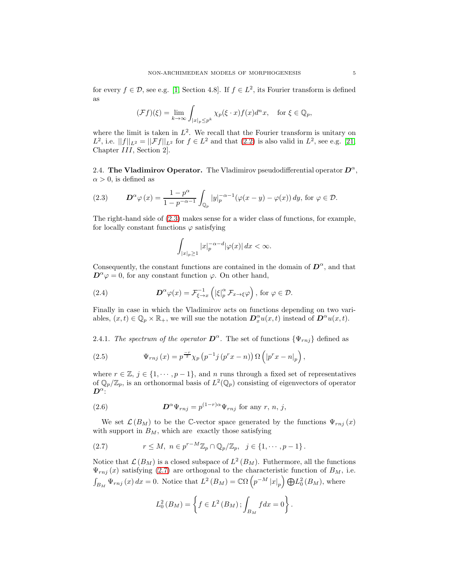for every  $f \in \mathcal{D}$ , see e.g. [1, Section 4.8]. If  $f \in L^2$ , its Fourier transform is defined as

$$
(\mathcal{F}f)(\xi) = \lim_{k \to \infty} \int_{|x|_p \le p^k} \chi_p(\xi \cdot x) f(x) d^n x, \text{ for } \xi \in \mathbb{Q}_p,
$$

where the limit is taken in  $L^2$ . We recall that the Fourier transform is unitary on  $L^2$ , i.e.  $||f||_{L^2} = ||\mathcal{F}f||_{L^2}$  for  $f \in L^2$  and that  $(2.2)$  is also valid in  $L^2$ , see e.g. [\[21,](#page-15-9) Chapter III, Section 2].

2.4. The Vladimirov Operator. The Vladimirov pseudodifferential operator  $D^{\alpha}$ ,  $\alpha > 0$ , is defined as

<span id="page-5-0"></span>(2.3) 
$$
\mathbf{D}^{\alpha}\varphi(x) = \frac{1-p^{\alpha}}{1-p^{-\alpha-1}} \int_{\mathbb{Q}_p} |y|_p^{-\alpha-1} (\varphi(x-y) - \varphi(x)) dy, \text{ for } \varphi \in \mathcal{D}.
$$

The right-hand side of [\(2.3\)](#page-5-0) makes sense for a wider class of functions, for example, for locally constant functions  $\varphi$  satisfying

$$
\int_{|x|_p\geq 1} |x|_p^{-\alpha-d} |\varphi(x)| dx < \infty.
$$

Consequently, the constant functions are contained in the domain of  $\mathbf{D}^{\alpha}$ , and that  $\mathbf{D}^{\alpha}\varphi=0$ , for any constant function  $\varphi$ . On other hand,

(2.4) 
$$
\mathcal{D}^{\alpha}\varphi(x)=\mathcal{F}_{\xi\to x}^{-1}\left(|\xi|_p^{\alpha}\mathcal{F}_{x\to\xi}\varphi\right), \text{ for } \varphi\in\mathcal{D}.
$$

Finally in case in which the Vladimirov acts on functions depending on two variables,  $(x,t) \in \mathbb{Q}_p \times \mathbb{R}_+$ , we will sue the notation  $\mathbf{D}_x^{\alpha} u(x,t)$  instead of  $\mathbf{D}^{\alpha} u(x,t)$ .

2.4.1. The spectrum of the operator  $\mathbf{D}^{\alpha}$ . The set of functions  $\{\Psi_{rnj}\}\$  defined as

(2.5) 
$$
\Psi_{rnj}(x) = p^{\frac{-r}{2}} \chi_p(p^{-1}j(p^r x - n)) \Omega\left(|p^r x - n|_p\right),
$$

where  $r \in \mathbb{Z}, j \in \{1, \dots, p-1\}$ , and n runs through a fixed set of representatives of  $\mathbb{Q}_p/\mathbb{Z}_p$ , is an orthonormal basis of  $L^2(\mathbb{Q}_p)$  consisting of eigenvectors of operator  $\bm{D}^{\alpha}$ :

(2.6) 
$$
\mathbf{D}^{\alpha}\Psi_{rnj} = p^{(1-r)\alpha}\Psi_{rnj} \text{ for any } r, n, j,
$$

We set  $\mathcal{L}(B_M)$  to be the C-vector space generated by the functions  $\Psi_{rnj}(x)$ with support in  $B_M$ , which are exactly those satisfying

<span id="page-5-1"></span>
$$
(2.7) \t\t r \le M, \; n \in p^{r-M} \mathbb{Z}_p \cap \mathbb{Q}_p/\mathbb{Z}_p, \; j \in \{1, \cdots, p-1\}.
$$

Notice that  $\mathcal{L}(B_M)$  is a closed subspace of  $L^2(B_M)$ . Futhermore, all the functions  $\Psi_{rnj}(x)$  satisfying [\(2.7\)](#page-5-1) are orthogonal to the characteristic function of  $B_M$ , i.e.  $\int_{B_M} \Psi_{rnj}(x) dx = 0.$  Notice that  $L^2(B_M) = \mathbb{C}\Omega\left(p^{-M} |x|_p\right) \bigoplus L_0^2(B_M)$ , where

$$
L_0^2(B_M) = \left\{ f \in L^2(B_M) \, ; \int_{B_M} f dx = 0 \right\}.
$$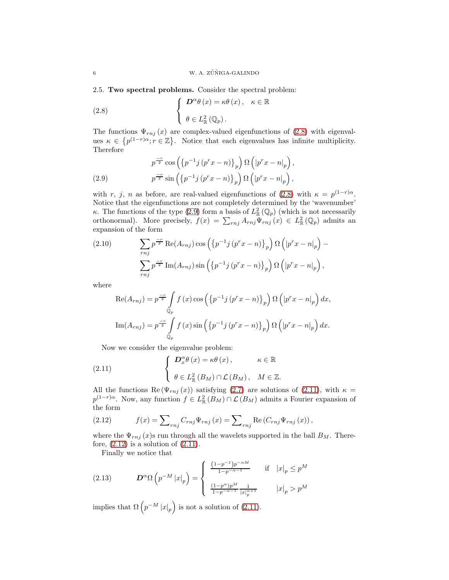<span id="page-6-5"></span>2.5. Two spectral problems. Consider the spectral problem:

<span id="page-6-0"></span>(2.8) 
$$
\begin{cases} \n\mathbf{D}^{\alpha} \theta(x) = \kappa \theta(x), & \kappa \in \mathbb{R} \\ \n\theta \in L_{\mathbb{R}}^{2}(\mathbb{Q}_{p}).\n\end{cases}
$$

The functions  $\Psi_{rnj}(x)$  are complex-valued eigenfunctions of [\(2.8\)](#page-6-0) with eigenvalues  $\kappa \in \{p^{(1-r)\alpha}; r \in \mathbb{Z}\}\.$  Notice that each eigenvalues has infinite multiplicity. Therefore

<span id="page-6-1"></span>(2.9) 
$$
p^{\frac{-r}{2}} \cos\left(\left\{p^{-1}j\left(p^r x - n\right)\right\}_p\right) \Omega\left(\left|p^r x - n\right|_p\right),
$$

$$
p^{\frac{-r}{2}} \sin\left(\left\{p^{-1}j\left(p^r x - n\right)\right\}_p\right) \Omega\left(\left|p^r x - n\right|_p\right),
$$

with r, j, n as before, are real-valued eigenfunctions of [\(2.8\)](#page-6-0) with  $\kappa = p^{(1-r)\alpha}$ . Notice that the eigenfunctions are not completely determined by the 'wavenumber' κ. The functions of the type [\(2.9\)](#page-6-1) form a basis of  $L^2_{\mathbb{R}}(\mathbb{Q}_p)$  (which is not necessarily orthonormal). More precisely,  $f(x) = \sum_{r,j} A_{rnj} \Psi_{rnj}(x) \in L^2_{\mathbb{R}}(\mathbb{Q}_p)$  admits an expansion of the form

(2.10) 
$$
\sum_{rnj} p^{\frac{-r}{2}} \operatorname{Re}(A_{rnj}) \cos \left( \left\{ p^{-1} j \left( p^r x - n \right) \right\}_p \right) \Omega \left( \left| p^r x - n \right|_p \right) -
$$

$$
\sum_{rnj} p^{\frac{-r}{2}} \operatorname{Im}(A_{rnj}) \sin \left( \left\{ p^{-1} j \left( p^r x - n \right) \right\}_p \right) \Omega \left( \left| p^r x - n \right|_p \right),
$$

where

$$
\operatorname{Re}(A_{rnj}) = p^{\frac{-r}{2}} \int_{\mathbb{Q}_p} f(x) \cos \left( \left\{ p^{-1} j \left( p^r x - n \right) \right\}_p \right) \Omega \left( \left| p^r x - n \right|_p \right) dx,
$$
  

$$
\operatorname{Im}(A_{rnj}) = p^{\frac{-r}{2}} \int_{\mathbb{Q}_p} f(x) \sin \left( \left\{ p^{-1} j \left( p^r x - n \right) \right\}_p \right) \Omega \left( \left| p^r x - n \right|_p \right) dx.
$$

<span id="page-6-2"></span>Now we consider the eigenvalue problem:

(2.11) 
$$
\begin{cases} \n\mathbf{D}_x^{\alpha} \theta(x) = \kappa \theta(x), & \kappa \in \mathbb{R} \\ \n\theta \in L_{\mathbb{R}}^2(B_M) \cap \mathcal{L}(B_M), & M \in \mathbb{Z}. \n\end{cases}
$$

All the functions Re  $(\Psi_{rnj}(x))$  satisfying [\(2.7\)](#page-5-1) are solutions of [\(2.11\)](#page-6-2), with  $\kappa =$  $p^{(1-r)\alpha}$ . Now, any function  $f \in L^2_{\mathbb{R}}(B_M) \cap \mathcal{L}(B_M)$  admits a Fourier expansion of the form

<span id="page-6-3"></span>(2.12) 
$$
f(x) = \sum_{rnj} C_{rnj} \Psi_{rnj} (x) = \sum_{rnj} \text{Re} (C_{rnj} \Psi_{rnj} (x)),
$$

where the  $\Psi_{rnj}(x)$ s run through all the wavelets supported in the ball  $B_M$ . Therefore,  $(2.12)$  is a solution of  $(2.11)$ .

<span id="page-6-4"></span>Finally we notice that

(2.13) 
$$
\mathbf{D}^{\alpha} \Omega \left( p^{-M} |x|_{p} \right) = \begin{cases} \frac{(1-p^{-1})p^{-\alpha M}}{1-p^{-\alpha-1}} & \text{if } |x|_{p} \leq p^{M} \\ \frac{(1-p^{\alpha})p^{M}}{1-p^{-\alpha-1}} \frac{1}{|x|_{p}^{\alpha+1}} & |x|_{p} > p^{M} \end{cases}
$$

implies that  $\Omega\left(p^{-M} |x|_p\right)$  is not a solution of [\(2.11\)](#page-6-2).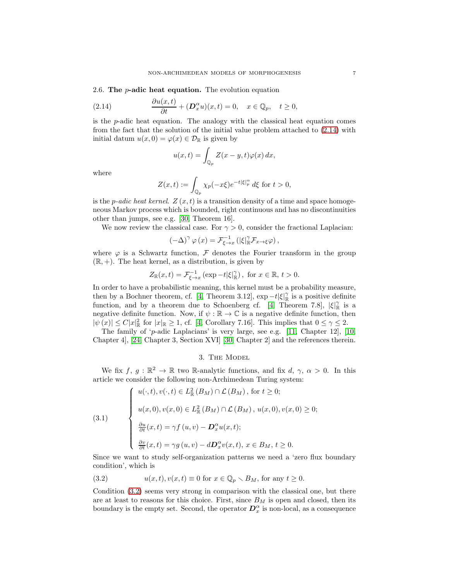2.6. The  $p$ -adic heat equation. The evolution equation

(2.14) 
$$
\frac{\partial u(x,t)}{\partial t} + (D_x^{\alpha} u)(x,t) = 0, \quad x \in \mathbb{Q}_p, \quad t \ge 0,
$$

is the  $p$ -adic heat equation. The analogy with the classical heat equation comes from the fact that the solution of the initial value problem attached to [\(2.14\)](#page-7-0) with initial datum  $u(x, 0) = \varphi(x) \in \mathcal{D}_{\mathbb{R}}$  is given by

<span id="page-7-0"></span>
$$
u(x,t) = \int_{\mathbb{Q}_p} Z(x-y,t)\varphi(x) dx,
$$

where

$$
Z(x,t) := \int_{\mathbb{Q}_p} \chi_p(-x\xi) e^{-t|\xi|_p^{\alpha}} d\xi \text{ for } t > 0,
$$

is the *p-adic heat kernel.*  $Z(x,t)$  is a transition density of a time and space homogeneous Markov process which is bounded, right continuous and has no discontinuities other than jumps, see e.g. [\[30,](#page-15-12) Theorem 16].

We now review the classical case. For  $\gamma > 0$ , consider the fractional Laplacian:

$$
\left(-\Delta\right)^{\gamma}\varphi\left(x\right) = \mathcal{F}_{\xi\to x}^{-1}\left(\left|\xi\right|_{\mathbb{R}}^{\gamma}\mathcal{F}_{x\to\xi}\varphi\right),\,
$$

where  $\varphi$  is a Schwartz function,  $\mathcal F$  denotes the Fourier transform in the group  $(\mathbb{R}, +)$ . The heat kernel, as a distribution, is given by

$$
Z_{\mathbb{R}}(x,t) = \mathcal{F}_{\xi \to x}^{-1} \left( \exp -t |\xi|_{\mathbb{R}}^{\gamma} \right), \text{ for } x \in \mathbb{R}, t > 0.
$$

In order to have a probabilistic meaning, this kernel must be a probability measure, then by a Bochner theorem, cf. [\[4,](#page-15-13) Theorem 3.12],  $\exp - t |\xi|_{\mathbb{R}}^{\gamma}$  is a positive definite function, and by a theorem due to Schoenberg cf. [\[4,](#page-15-13) Theorem 7.8],  $|\xi|_{\mathbb{R}}^{\gamma}$  is a negative definite function. Now, if  $\psi : \mathbb{R} \to \mathbb{C}$  is a negative definite function, then  $|\psi(x)| \leq C |x|_{\mathbb{R}}^2$  for  $|x|_{\mathbb{R}} \geq 1$ , cf. [\[4,](#page-15-13) Corollary 7.16]. This implies that  $0 \leq \gamma \leq 2$ .

The family of 'p-adic Laplacians' is very large, see e.g.  $[11,$  Chapter 12,  $[10,$ Chapter 4], [\[24,](#page-15-10) Chapter 3, Section XVI] [\[30,](#page-15-12) Chapter 2] and the references therein.

### 3. The Model

We fix  $f, g: \mathbb{R}^2 \to \mathbb{R}$  two R-analytic functions, and fix  $d, \gamma, \alpha > 0$ . In this article we consider the following non-Archimedean Turing system:

<span id="page-7-2"></span>(3.1)  

$$
\begin{cases}\nu(\cdot,t), v(\cdot,t) \in L^2_{\mathbb{R}}(B_M) \cap \mathcal{L}(B_M), \text{ for } t \ge 0; \\
u(x,0), v(x,0) \in L^2_{\mathbb{R}}(B_M) \cap \mathcal{L}(B_M), u(x,0), v(x,0) \ge 0; \\
\frac{\partial u}{\partial t}(x,t) = \gamma f(u,v) - \mathbf{D}_x^{\alpha} u(x,t); \\
\frac{\partial v}{\partial t}(x,t) = \gamma g(u,v) - d\mathbf{D}_x^{\alpha} v(x,t), x \in B_M, t \ge 0.\n\end{cases}
$$

Since we want to study self-organization patterns we need a 'zero flux boundary condition', which is

<span id="page-7-1"></span>(3.2) 
$$
u(x,t), v(x,t) \equiv 0 \text{ for } x \in \mathbb{Q}_p \setminus B_M \text{, for any } t \ge 0.
$$

Condition [\(3.2\)](#page-7-1) seems very strong in comparison with the classical one, but there are at least to reasons for this choice. First, since  $B_M$  is open and closed, then its boundary is the empty set. Second, the operator  $D_x^{\alpha}$  is non-local, as a consequence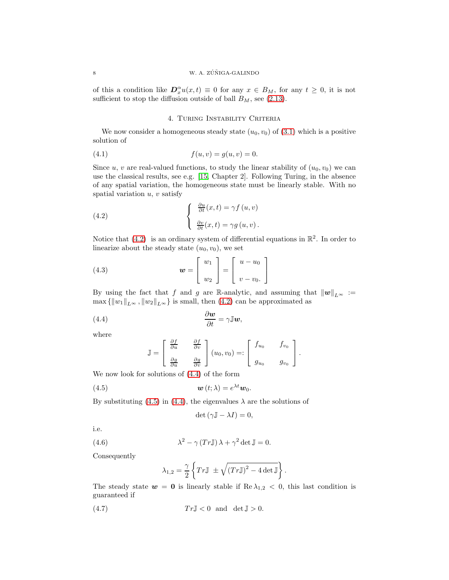#### 8 W. A.  $Z\acute{U}NIGA-GALINDO$

of this a condition like  $D_x^{\alpha}u(x,t) \equiv 0$  for any  $x \in B_M$ , for any  $t \geq 0$ , it is not sufficient to stop the diffusion outside of ball  $B_M$ , see [\(2.13\)](#page-6-4).

## 4. TURING INSTABILITY CRITERIA

We now consider a homogeneous steady state  $(u_0, v_0)$  of  $(3.1)$  which is a positive solution of

(4.1) 
$$
f(u, v) = g(u, v) = 0.
$$

Since u, v are real-valued functions, to study the linear stability of  $(u_0, v_0)$  we can use the classical results, see e.g. [\[15,](#page-15-1) Chapter 2]. Following Turing, in the absence of any spatial variation, the homogeneous state must be linearly stable. With no spatial variation  $u, v$  satisfy

<span id="page-8-0"></span>(4.2) 
$$
\begin{cases} \frac{\partial u}{\partial t}(x,t) = \gamma f(u,v) \\ \frac{\partial v}{\partial t}(x,t) = \gamma g(u,v) \end{cases}
$$

Notice that  $(4.2)$  is an ordinary system of differential equations in  $\mathbb{R}^2$ . In order to linearize about the steady state  $(u_0, v_0)$ , we set

(4.3) 
$$
\mathbf{w} = \begin{bmatrix} w_1 \\ w_2 \end{bmatrix} = \begin{bmatrix} u - u_0 \\ v - v_0 \end{bmatrix}
$$

By using the fact that f and g are R-analytic, and assuming that  $||w||_{L^{\infty}} :=$  $\max\{\|w_1\|_{L^{\infty}}, \|w_2\|_{L^{\infty}}\}$  is small, then [\(4.2\)](#page-8-0) can be approximated as

(4.4) 
$$
\frac{\partial \boldsymbol{w}}{\partial t} = \gamma \mathbb{J} \boldsymbol{w},
$$

where

<span id="page-8-3"></span><span id="page-8-1"></span>
$$
\mathbb{J} = \begin{bmatrix} \frac{\partial f}{\partial u} & \frac{\partial f}{\partial v} \\ \frac{\partial g}{\partial u} & \frac{\partial g}{\partial v} \end{bmatrix} (u_0, v_0) =: \begin{bmatrix} f_{u_0} & f_{v_0} \\ g_{u_0} & g_{v_0} \end{bmatrix}.
$$

We now look for solutions of [\(4.4\)](#page-8-1) of the form

(4.5) 
$$
\boldsymbol{w}(t;\lambda) = e^{\lambda t} \boldsymbol{w}_0.
$$

By substituting [\(4.5\)](#page-8-2) in [\(4.4\)](#page-8-1), the eigenvalues  $\lambda$  are the solutions of

<span id="page-8-2"></span>
$$
\det\left(\gamma \mathbb{J} - \lambda I\right) = 0,
$$

i.e.

(4.6) 
$$
\lambda^2 - \gamma (Tr \mathbb{J}) \lambda + \gamma^2 \det \mathbb{J} = 0.
$$

Consequently

<span id="page-8-5"></span><span id="page-8-4"></span>
$$
\lambda_{1,2} = \frac{\gamma}{2} \left\{ Tr \mathbb{J} \pm \sqrt{(Tr \mathbb{J})^2 - 4 \det \mathbb{J}} \right\}.
$$

The steady state  $w = 0$  is linearly stable if  $\text{Re } \lambda_{1,2} < 0$ , this last condition is guaranteed if

$$
(4.7) \t Tr \mathbb{J} < 0 \text{ and } \det \mathbb{J} > 0.
$$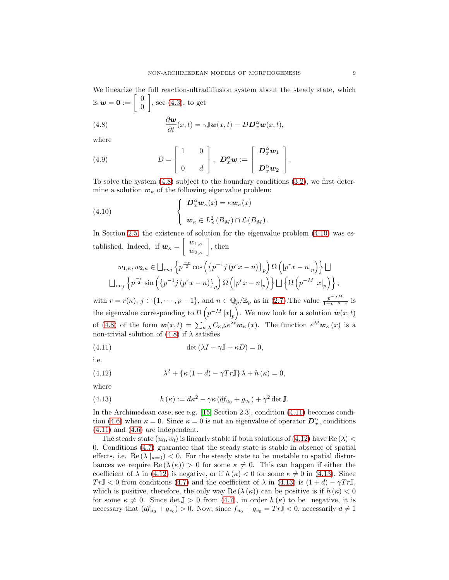<span id="page-9-0"></span>(4.8) 
$$
\frac{\partial \boldsymbol{w}}{\partial t}(x,t) = \gamma \mathbb{J} \boldsymbol{w}(x,t) - D \boldsymbol{D}_x^{\alpha} \boldsymbol{w}(x,t),
$$

where

(4.9) 
$$
D = \begin{bmatrix} 1 & 0 \\ 0 & d \end{bmatrix}, \ \ \mathbf{D}_x^{\alpha} \mathbf{w} := \begin{bmatrix} \mathbf{D}_x^{\alpha} \mathbf{w}_1 \\ \mathbf{D}_x^{\alpha} \mathbf{w}_2 \end{bmatrix}.
$$

To solve the system  $(4.8)$  subject to the boundary conditions  $(3.2)$ , we first determine a solution  $w_{\kappa}$  of the following eigenvalue problem:

<span id="page-9-1"></span>(4.10) 
$$
\begin{cases}\nD_x^{\alpha} w_{\kappa}(x) = \kappa w_{\kappa}(x) \\
w_{\kappa} \in L_{\mathbb{R}}^2(B_M) \cap \mathcal{L}(B_M).\n\end{cases}
$$

In Section [2.5,](#page-6-5) the existence of solution for the eigenvalue problem [\(4.10\)](#page-9-1) was established. Indeed, if  $w_{\kappa} = \begin{bmatrix} w_{1,\kappa} \\ w_{2,\kappa} \end{bmatrix}$ , then

$$
w_{1,\kappa}, w_{2,\kappa} \in \bigsqcup_{rnj} \left\{ p^{\frac{-r}{2}} \cos \left( \left\{ p^{-1} j \left( p^r x - n \right) \right\}_p \right) \Omega \left( \left| p^r x - n \right|_p \right) \right\} \bigsqcup
$$
  

$$
\bigsqcup_{rnj} \left\{ p^{\frac{-r}{2}} \sin \left( \left\{ p^{-1} j \left( p^r x - n \right) \right\}_p \right) \Omega \left( \left| p^r x - n \right|_p \right) \right\} \bigsqcup \left\{ \Omega \left( p^{-M} \left| x \right|_p \right) \right\},\right.
$$

with  $r = r(\kappa)$ ,  $j \in \{1, \dots, p-1\}$ , and  $n \in \mathbb{Q}_p/\mathbb{Z}_p$  as in [\(2.7\)](#page-5-1). The value  $\frac{p^{-\alpha M}}{1-p^{-\alpha-1}}$  is the eigenvalue corresponding to  $\Omega(p^{-M} |x|_p)$ . We now look for a solution  $w(x,t)$ of [\(4.8\)](#page-9-0) of the form  $\mathbf{w}(x,t) = \sum_{\kappa,\lambda} C_{\kappa,\lambda} e^{\lambda t} \mathbf{w}_{\kappa}(x)$ . The function  $e^{\lambda t} \mathbf{w}_{\kappa}(x)$  is a non-trivial solution of  $(4.8)$  if  $\lambda$  satisfies

<span id="page-9-2"></span>(4.11) 
$$
\det(\lambda I - \gamma \mathbb{J} + \kappa D) = 0,
$$

i.e.

<span id="page-9-3"></span>(4.12) 
$$
\lambda^2 + \{\kappa (1+d) - \gamma Tr \mathbb{J}\}\lambda + h(\kappa) = 0,
$$

where

<span id="page-9-4"></span>(4.13) 
$$
h(\kappa) := d\kappa^2 - \gamma \kappa (df_{u_0} + g_{v_0}) + \gamma^2 \det \mathbb{J}.
$$

In the Archimedean case, see e.g. [\[15,](#page-15-1) Section 2.3], condition [\(4.11\)](#page-9-2) becomes condi-tion [\(4.6\)](#page-8-4) when  $\kappa = 0$ . Since  $\kappa = 0$  is not an eigenvalue of operator  $\mathcal{D}_x^{\alpha}$ , conditions [\(4.11\)](#page-9-2) and [\(4.6\)](#page-8-4) are independent.

The steady state  $(u_0, v_0)$  is linearly stable if both solutions of [\(4.12\)](#page-9-3) have Re ( $\lambda$ ) < 0. Conditions [\(4.7\)](#page-8-5) guarantee that the steady state is stable in absence of spatial effects, i.e. Re  $(\lambda |_{k=0})$  < 0. For the steady state to be unstable to spatial disturbances we require  $\text{Re}(\lambda(\kappa)) > 0$  for some  $\kappa \neq 0$ . This can happen if either the coefficient of  $\lambda$  in [\(4.12\)](#page-9-3) is negative, or if  $h(\kappa) < 0$  for some  $\kappa \neq 0$  in [\(4.13\)](#page-9-4). Since  $Tr\mathbb{J} < 0$  from conditions [\(4.7\)](#page-8-5) and the coefficient of  $\lambda$  in [\(4.13\)](#page-9-4) is  $(1+d) - \gamma Tr\mathbb{J}$ , which is positive, therefore, the only way Re  $(\lambda(\kappa))$  can be positive is if  $h(\kappa) < 0$ for some  $\kappa \neq 0$ . Since det  $\mathbb{J} > 0$  from  $(4.7)$ , in order  $h(\kappa)$  to be negative, it is necessary that  $(df_{u_0} + g_{v_0}) > 0$ . Now, since  $f_{u_0} + g_{v_0} = Tr \mathbb{J} < 0$ , necessarily  $d \neq 1$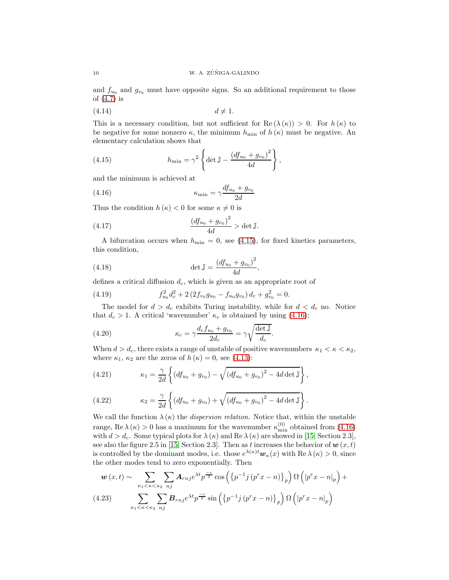and  $f_{u_0}$  and  $g_{v_0}$  must have opposite signs. So an additional requirement to those of [\(4.7\)](#page-8-5) is

$$
(4.14) \t\t d \neq 1.
$$

This is a necessary condition, but not sufficient for Re  $(\lambda(\kappa)) > 0$ . For  $h(\kappa)$  to be negative for some nonzero  $\kappa$ , the minimum  $h_{\min}$  of  $h(\kappa)$  must be negative. An elementary calculation shows that

<span id="page-10-0"></span>(4.15) 
$$
h_{\min} = \gamma^2 \left\{ \det \mathbb{J} - \frac{(df_{u_0} + g_{v_0})^2}{4d} \right\},
$$

and the minimum is achieved at

(4.16) 
$$
\kappa_{\min} = \gamma \frac{df_{u_0} + g_{v_0}}{2d}
$$

Thus the condition  $h(\kappa) < 0$  for some  $\kappa \neq 0$  is

(4.17) 
$$
\frac{(df_{u_0} + g_{v_0})^2}{4d} > \det \mathbb{J}.
$$

A bifurcation occurs when  $h_{\min} = 0$ , see [\(4.15\)](#page-10-0), for fixed kinetics parameters, this condition,

<span id="page-10-1"></span>,

(4.18) 
$$
\det \mathbb{J} = \frac{(df_{u_0} + g_{v_0})^2}{4d}
$$

defines a critical diffusion  $d_c$ , which is given as an appropriate root of

(4.19) 
$$
f_{u_0}^2 d_c^2 + 2 \left( 2 f_{v_0} g_{u_0} - f_{u_0} g_{v_0} \right) d_c + g_{v_0}^2 = 0.
$$

The model for  $d > d_c$  exhibits Turing instability, while for  $d < d_c$  no. Notice that  $d_c > 1$ . A critical 'wavenumber'  $\kappa_c$  is obtained by using [\(4.16\)](#page-10-1):

(4.20) 
$$
\kappa_c = \gamma \frac{d_c f_{u_0} + g_{v_0}}{2d_c} = \gamma \sqrt{\frac{\det \mathbb{J}}{d_c}}.
$$

When  $d > d_c$ , there exists a range of unstable of positive wavenumbers  $\kappa_1 < \kappa < \kappa_2$ , where  $\kappa_1$ ,  $\kappa_2$  are the zeros of  $h(\kappa) = 0$ , see [\(4.13\)](#page-9-4):

(4.21) 
$$
\kappa_1 = \frac{\gamma}{2d} \left\{ (df_{u_0} + g_{v_0}) - \sqrt{(df_{u_0} + g_{v_0})^2 - 4d \det \mathbb{J}} \right\},
$$

(4.22) 
$$
\kappa_2 = \frac{\gamma}{2d} \left\{ (df_{u_0} + g_{v_0}) + \sqrt{(df_{u_0} + g_{v_0})^2 - 4d \det \mathbb{J}} \right\}.
$$

We call the function  $\lambda(\kappa)$  the *dispersion relation*. Notice that, within the unstable range, Re  $\lambda(\kappa) > 0$  has a maximum for the wavenumber  $\kappa_{\min}^{(0)}$  obtained from [\(4.16\)](#page-10-1) with  $d > d_c$ . Some typical plots for  $\lambda(\kappa)$  and Re  $\lambda(\kappa)$  are showed in [\[15,](#page-15-1) Section 2.3], see also the figure 2.5 in [\[15,](#page-15-1) Section 2.3]. Then as t increases the behavior of  $w(x, t)$ is controlled by the dominant modes, i.e. those  $e^{\lambda(\kappa)t}\mathbf{w}_{\kappa}(x)$  with Re  $\lambda(\kappa) > 0$ , since the other modes tend to zero exponentially. Then

<span id="page-10-2"></span>
$$
\boldsymbol{w}(x,t) \sim \sum_{\kappa_1 < \kappa < \kappa_2} \sum_{nj} \boldsymbol{A}_{rnj} e^{\lambda t} p^{\frac{-r}{2}} \cos \left( \left\{ p^{-1} j \left( p^r x - n \right) \right\}_p \right) \Omega \left( \left| p^r x - n \right|_p \right) +
$$
\n
$$
(4.23) \qquad \sum_{\kappa_1 < \kappa < \kappa_2} \sum_{nj} \boldsymbol{B}_{rnj} e^{\lambda t} p^{\frac{-r}{2}} \sin \left( \left\{ p^{-1} j \left( p^r x - n \right) \right\}_p \right) \Omega \left( \left| p^r x - n \right|_p \right)
$$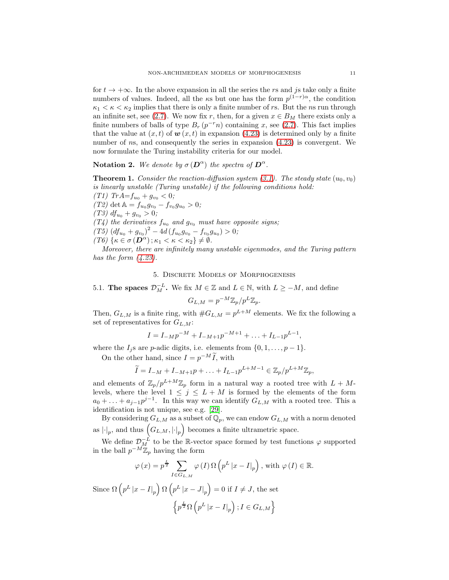for  $t \to +\infty$ . In the above expansion in all the series the rs and js take only a finite numbers of values. Indeed, all the  $\kappa s$  but one has the form  $p^{(1-r)\alpha}$ , the condition  $\kappa_1 < \kappa < \kappa_2$  implies that there is only a finite number of rs. But the ns run through an infinite set, see [\(2.7\)](#page-5-1). We now fix r, then, for a given  $x \in B_M$  there exists only a finite numbers of balls of type  $B_r(p^{-r}n)$  containing x, see [\(2.7\)](#page-5-1). This fact implies that the value at  $(x, t)$  of  $\boldsymbol{w}(x, t)$  in expansion [\(4.23\)](#page-10-2) is determined only by a finite number of ns, and consequently the series in expansion [\(4.23\)](#page-10-2) is convergent. We now formulate the Turing instability criteria for our model.

**Notation 2.** We denote by  $\sigma(\mathbf{D}^{\alpha})$  the spectra of  $\mathbf{D}^{\alpha}$ .

<span id="page-11-0"></span>**Theorem 1.** Consider the reaction-diffusion system [\(3.1\)](#page-7-2). The steady state  $(u_0, v_0)$ is linearly unstable (Turing unstable) if the following conditions hold: (T1)  $Tr A = f_{u_0} + g_{v_0} < 0;$ 

(T2) det  $\mathbb{A} = f_{u_0} g_{v_0} - f_{v_0} g_{u_0} > 0;$ (T3)  $df_{u_0} + g_{v_0} > 0;$  $(T_4)$  the derivatives  $f_{u_0}$  and  $g_{v_0}$  must have opposite signs;  $(T5)$   $(df_{u_0} + g_{v_0})^2 - 4d(f_{u_0}g_{v_0} - f_{v_0}g_{u_0}) > 0;$  $(T6)\{\kappa\in\sigma(\boldsymbol{D}^{\alpha});\kappa_1<\kappa<\kappa_2\}\neq\emptyset.$ 

<span id="page-11-1"></span>Moreover, there are infinitely many unstable eigenmodes, and the Turing pattern has the form  $(4.23)$ .

## 5. Discrete Models of Morphogenesis

5.1. The spaces  $\mathcal{D}_M^{-L}$ . We fix  $M \in \mathbb{Z}$  and  $L \in \mathbb{N}$ , with  $L \geq -M$ , and define

$$
G_{L,M} = p^{-M} \mathbb{Z}_p / p^L \mathbb{Z}_p.
$$

Then,  $G_{L,M}$  is a finite ring, with  $#G_{L,M} = p^{L+M}$  elements. We fix the following a set of representatives for  $G_{L,M}$ :

$$
I = I_{-M}p^{-M} + I_{-M+1}p^{-M+1} + \dots + I_{L-1}p^{L-1},
$$

where the  $I_i$ s are p-adic digits, i.e. elements from  $\{0, 1, \ldots, p-1\}$ .

On the other hand, since  $I = p^{-M} \tilde{I}$ , with

$$
\widetilde{I} = I_{-M} + I_{-M+1}p + \ldots + I_{L-1}p^{L+M-1} \in \mathbb{Z}_p/p^{L+M} \mathbb{Z}_p,
$$

and elements of  $\mathbb{Z}_p/p^{L+M}\mathbb{Z}_p$  form in a natural way a rooted tree with  $L + M$ levels, where the level  $1 \leq j \leq L + M$  is formed by the elements of the form  $a_0 + \ldots + a_{j-1} p^{j-1}$ . In this way we can identify  $G_{L,M}$  with a rooted tree. This a identification is not unique, see e.g. [\[29\]](#page-15-16).

By considering  $G_{L,M}$  as a subset of  $\mathbb{Q}_p$ , we can endow  $G_{L,M}$  with a norm denoted as  $\left| \cdot \right|_p$ , and thus  $\left( G_{L,M},\left| \cdot \right|_p \right)$  becomes a finite ultrametric space.

We define  $\mathcal{D}_{M}^{-L}$  to be the R-vector space formed by test functions  $\varphi$  supported in the ball  $p^{-M}\mathbb{Z}_p$  having the form

$$
\varphi(x) = p^{\frac{L}{2}} \sum_{I \in G_{L,M}} \varphi(I) \Omega(p^L |x - I|_p), \text{ with } \varphi(I) \in \mathbb{R}.
$$

Since  $\Omega\left(p^L|x-I|_p\right)\Omega\left(p^L|x-J|_p\right)=0$  if  $I\neq J$ , the set

$$
\left\{p^{\frac{L}{2}}\Omega\left(p^L\left|x-I\right|_p\right); I \in G_{L,M}\right\}
$$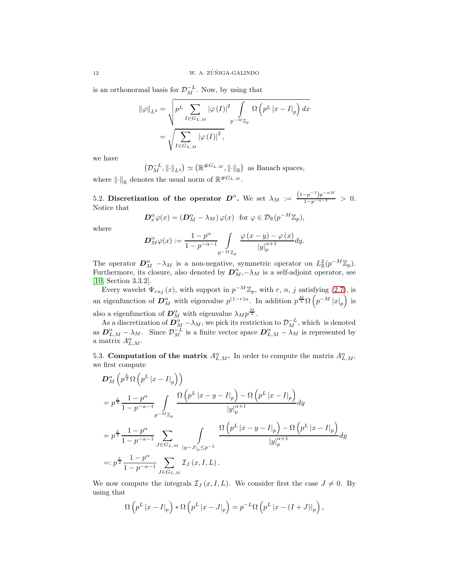is an orthonormal basis for  $\mathcal{D}_M^{-L}$ . Now, by using that

$$
\begin{aligned} \|\varphi\|_{L^{2}} &= \sqrt{p^{L} \sum_{I \in G_{L,M}} |\varphi(I)|^{2} \int p^{-M} \mathbb{Z}_{p}} \Omega\left(p^{L} |x - I|_{p}\right) dx \\ &= \sqrt{\sum_{I \in G_{L,M}} |\varphi(I)|^{2}}, \end{aligned}
$$

we have

$$
(\mathcal{D}_M^{-L}, \|\cdot\|_{L^2}) \simeq (\mathbb{R}^{\#G_{L,M}}, \|\cdot\|_{\mathbb{R}})
$$
 as Banach spaces,

where  $\left\Vert \cdot\right\Vert_{\mathbb{R}}$  denotes the usual norm of  $\mathbb{R}^{\#G_{L,M}}$ .

5.2. Discretization of the operator  $D^{\alpha}$ . We set  $\lambda_M := \frac{(1-p^{-1})p^{-\alpha M}}{1-p^{-\alpha-1}} > 0$ . Notice that

$$
\mathbf{D}_{x}^{\alpha}\varphi(x) = (\mathbf{D}_{M}^{\alpha} - \lambda_{M})\,\varphi(x) \text{ for } \varphi \in \mathcal{D}_{\mathbb{R}}(p^{-M}\mathbb{Z}_{p}),
$$

where

$$
\mathbf{D}_{M}^{\alpha}\varphi(x) := \frac{1-p^{\alpha}}{1-p^{-\alpha-1}} \int\limits_{p^{-M}\mathbb{Z}_p} \frac{\varphi(x-y) - \varphi(x)}{|y|_p^{\alpha+1}} dy.
$$

The operator  $\mathbf{D}_{M}^{\alpha}$  -  $\lambda_{M}$  is a non-negative, symmetric operator on  $L_{\mathbb{R}}^{2}(p^{-M}\mathbb{Z}_{p})$ . Furthermore, its closure, also denoted by  $\mathbf{D}_M^{\alpha}, -\lambda_M$  is a self-adjoint operator, see [\[10,](#page-15-15) Section 3.3.2].

Every wavelet  $\Psi_{rnj}(x)$ , with support in  $p^{-M}\mathbb{Z}_p$ , with r, n, j satisfying [\(2.7\)](#page-5-1), is an eigenfunction of  $\mathcal{D}_{M}^{\alpha}$  with eigenvalue  $p^{(1-r)\alpha}$ . In addition  $p^{\frac{M}{2}}\Omega(p^{-M}|x|_p)$  is also a eigenfunction of  $\mathbf{D}_M^{\alpha}$  with eigenvalue  $\lambda_M p^{\frac{M}{2}}$ .

As a discretization of  $\mathcal{D}_{M}^{\alpha}$  –  $\lambda_M$ , we pick its restriction to  $\mathcal{D}_{M}^{-L}$ , which is denoted as  $\mathbf{D}_{L,M}^{\alpha} - \lambda_M$ . Since  $\mathcal{D}_M^{-L}$  is a finite vector space  $\mathbf{D}_{L,M}^{\alpha} - \lambda_M$  is represented by a matrix  $A_{L,M}^{\alpha}$ .

5.3. Computation of the matrix  $A_{L,M}^{\alpha}$ . In order to compute the matrix  $A_{L,M}^{\alpha}$ , we first compute

$$
\begin{split} & \mathcal{D}_{M}^{\alpha} \left( p^{\frac{L}{2}} \Omega \left( p^{L} \left| x - I \right|_{p} \right) \right) \\ & = p^{\frac{L}{2}} \frac{1 - p^{\alpha}}{1 - p^{-\alpha - 1}} \int_{p^{-M} \mathbb{Z}_{p}} \frac{\Omega \left( p^{L} \left| x - y - I \right|_{p} \right) - \Omega \left( p^{L} \left| x - I \right|_{p} \right)}{\left| y \right|_{p}^{\alpha + 1}} dy \\ & = p^{\frac{L}{2}} \frac{1 - p^{\alpha}}{1 - p^{-\alpha - 1}} \sum_{J \in G_{L, M}} \int_{\left| y - J \right|_{p} \leq p^{-L}} \frac{\Omega \left( p^{L} \left| x - y - I \right|_{p} \right) - \Omega \left( p^{L} \left| x - I \right|_{p} \right)}{\left| y \right|_{p}^{\alpha + 1}} dy \\ & =: p^{\frac{L}{2}} \frac{1 - p^{\alpha}}{1 - p^{-\alpha - 1}} \sum_{J \in G_{L, M}} \mathcal{I}_{J} (x, I, L) \, . \end{split}
$$

We now compute the integrals  $\mathcal{I}_J(x, I, L)$ . We consider first the case  $J \neq 0$ . By using that

$$
\Omega\left(p^L|x-I|_p\right) * \Omega\left(p^L|x-J|_p\right) = p^{-L}\Omega\left(p^L|x-(I+J)|_p\right),\,
$$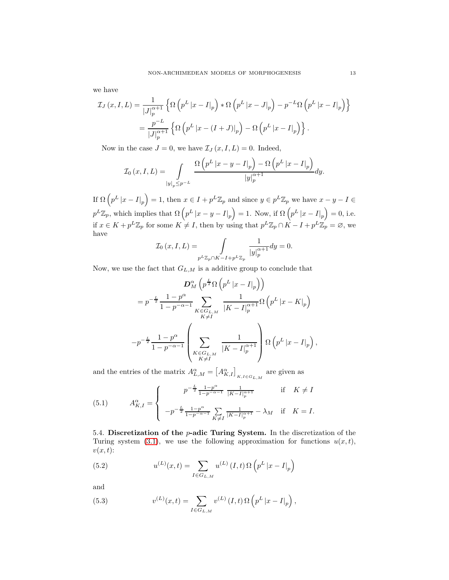we have

$$
\mathcal{I}_J(x,I,L) = \frac{1}{|J|_p^{\alpha+1}} \left\{ \Omega \left( p^L |x - I|_p \right) * \Omega \left( p^L |x - J|_p \right) - p^{-L} \Omega \left( p^L |x - I|_p \right) \right\}
$$

$$
= \frac{p^{-L}}{|J|_p^{\alpha+1}} \left\{ \Omega \left( p^L |x - (I+J)|_p \right) - \Omega \left( p^L |x - I|_p \right) \right\}.
$$

Now in the case  $J = 0$ , we have  $\mathcal{I}_J(x, I, L) = 0$ . Indeed,

$$
\mathcal{I}_0(x,I,L) = \int\limits_{|y|_p \le p^{-L}} \frac{\Omega\left(p^L|x-y-I|_p\right) - \Omega\left(p^L|x-I|_p\right)}{|y|_p^{\alpha+1}} dy.
$$

If  $\Omega(p^L |x - I|_p) = 1$ , then  $x \in I + p^L \mathbb{Z}_p$  and since  $y \in p^L \mathbb{Z}_p$  we have  $x - y - I \in$  $p^L \mathbb{Z}_p$ , which implies that  $\Omega\left(p^L|x-y-I|_p\right)=1$ . Now, if  $\Omega\left(p^L|x-I|_p\right)=0$ , i.e. if  $x \in K + p^L \mathbb{Z}_p$  for some  $K \neq I$ , then by using that  $p^L \mathbb{Z}_p \cap K - I + p^L \mathbb{Z}_p = \emptyset$ , we have

$$
\mathcal{I}_0(x,I,L) = \int\limits_{p^L \mathbb{Z}_p \cap K - I + p^L \mathbb{Z}_p} \frac{1}{|y|_p^{\alpha+1}} dy = 0.
$$

Now, we use the fact that  ${\cal G}_{L,M}$  is a additive group to conclude that

$$
D_M^{\alpha} \left( p^{\frac{L}{2}} \Omega \left( p^L |x - I|_p \right) \right)
$$
  
=  $p^{-\frac{L}{2}} \frac{1 - p^{\alpha}}{1 - p^{-\alpha - 1}} \sum_{\substack{K \in G_{L,M} \\ K \neq I}} \frac{1}{|K - I|_p^{\alpha+1}} \Omega \left( p^L |x - K|_p \right)$   
 $-p^{-\frac{L}{2}} \frac{1 - p^{\alpha}}{1 - p^{-\alpha - 1}} \left( \sum_{\substack{K \in G_{L,M} \\ K \neq I}} \frac{1}{|K - I|_p^{\alpha+1}} \right) \Omega \left( p^L |x - I|_p \right),$ 

and the entries of the matrix  $A^{\alpha}_{L,M} = \left[A^{\alpha}_{K,I}\right]_{K,I \in G_{L,M}}$  are given as

<span id="page-13-0"></span>(5.1) 
$$
A_{K,I}^{\alpha} = \begin{cases} p^{-\frac{L}{2}} \frac{1-p^{\alpha}}{1-p^{-\alpha-1}} \frac{1}{|K-I|_p^{\alpha+1}} & \text{if } K \neq I \\ -p^{-\frac{L}{2}} \frac{1-p^{\alpha}}{1-p^{-\alpha-1}} \sum_{K \neq I} \frac{1}{|K-I|_p^{\alpha+1}} - \lambda_M & \text{if } K = I. \end{cases}
$$

5.4. Discretization of the  $p$ -adic Turing System. In the discretization of the Turing system [\(3.1\)](#page-7-2), we use the following approximation for functions  $u(x, t)$ ,  $v(x, t)$ :

(5.2) 
$$
u^{(L)}(x,t) = \sum_{I \in G_{L,M}} u^{(L)}(I,t) \Omega \left( p^L |x - I|_p \right)
$$

and

(5.3) 
$$
v^{(L)}(x,t) = \sum_{I \in G_{L,M}} v^{(L)}(I,t) \Omega \left( p^L |x - I|_p \right),
$$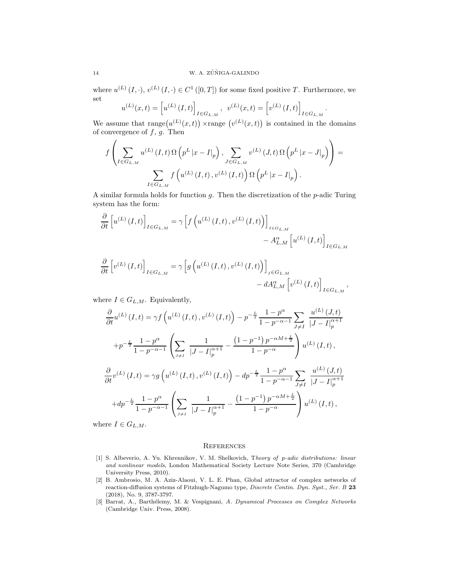where  $u^{(L)}(I, \cdot), v^{(L)}(I, \cdot) \in C^1([0,T])$  for some fixed positive T. Furthermore, we set

$$
u^{(L)}(x,t) = \left[u^{(L)}(I,t)\right]_{I \in G_{L,M}}, \quad v^{(L)}(x,t) = \left[v^{(L)}(I,t)\right]_{I \in G_{L,M}}
$$

.

We assume that range  $(u^{(L)}(x,t))$  xrange  $(v^{(L)}(x,t))$  is contained in the domains of convergence of  $f, g$ . Then

$$
f\left(\sum_{I\in G_{L,M}}u^{(L)}(I,t)\Omega\left(p^L|x-I|_p\right),\sum_{J\in G_{L,M}}v^{(L)}(J,t)\Omega\left(p^L|x-J|_p\right)\right)=\sum_{I\in G_{L,M}}f\left(u^{(L)}(I,t),v^{(L)}(I,t)\right)\Omega\left(p^L|x-I|_p\right).
$$

A similar formula holds for function  $g$ . Then the discretization of the  $p$ -adic Turing system has the form:

$$
\frac{\partial}{\partial t} \left[ u^{(L)}(I,t) \right]_{I \in G_{L,M}} = \gamma \left[ f \left( u^{(L)}(I,t), v^{(L)}(I,t) \right) \right]_{I \in G_{L,M}} - A_{L,M}^{\alpha} \left[ u^{(L)}(I,t) \right]_{I \in G_{L,M}}
$$

$$
\frac{\partial}{\partial t} \left[ v^{(L)}(I,t) \right]_{I \in G_{L,M}} = \gamma \left[ g \left( u^{(L)}(I,t), v^{(L)}(I,t) \right) \right]_{I \in G_{L,M}} - dA_{L,M}^{\alpha} \left[ v^{(L)}(I,t) \right]_{I \in G_{L,M}},
$$

where  $I \in G_{L,M}$ . Equivalently,

$$
\frac{\partial}{\partial t}u^{(L)}(I,t) = \gamma f\left(u^{(L)}(I,t), v^{(L)}(I,t)\right) - p^{-\frac{L}{2}} \frac{1 - p^{\alpha}}{1 - p^{-\alpha - 1}} \sum_{J \neq I} \frac{u^{(L)}(J,t)}{|J - I|_{p}^{\alpha + 1}}
$$

$$
+ p^{-\frac{L}{2}} \frac{1 - p^{\alpha}}{1 - p^{-\alpha - 1}} \left( \sum_{J \neq I} \frac{1}{|J - I|_{p}^{\alpha + 1}} - \frac{(1 - p^{-1})p^{-\alpha M + \frac{L}{2}}}{1 - p^{-\alpha}} \right) u^{(L)}(I,t),
$$

$$
\frac{\partial}{\partial t}v^{(L)}(I,t) = \gamma g\left(u^{(L)}(I,t), v^{(L)}(I,t)\right) - dp^{-\frac{L}{2}} \frac{1 - p^{\alpha}}{1 - p^{-\alpha - 1}} \sum_{J \neq I} \frac{u^{(L)}(J,t)}{|J - I|_{p}^{\alpha + 1}}
$$

$$
+ dp^{-\frac{L}{2}} \frac{1 - p^{\alpha}}{1 - p^{-\alpha - 1}} \left( \sum_{J \neq I} \frac{1}{|J - I|_{p}^{\alpha + 1}} - \frac{(1 - p^{-1})p^{-\alpha M + \frac{L}{2}}}{1 - p^{-\alpha}} \right) u^{(L)}(I,t),
$$

where  $I \in G_{L,M}$ .

#### **REFERENCES**

- [1] S. Albeverio, A. Yu. Khrennikov, V. M. Shelkovich, Theory of p-adic distributions: linear and nonlinear models, London Mathematical Society Lecture Note Series, 370 (Cambridge University Press, 2010).
- [2] B. Ambrosio, M. A. Aziz-Alaoui, V. L. E. Phan, Global attractor of complex networks of reaction-diffusion systems of Fitzhugh-Nagumo type, Discrete Contin. Dyn. Syst., Ser. B 23 (2018), No. 9, 3787-3797.
- [3] Barrat, A., Barthélemy, M. & Vespignani, A. Dynamical Processes on Complex Networks (Cambridge Univ. Press, 2008).

 $\overline{ }$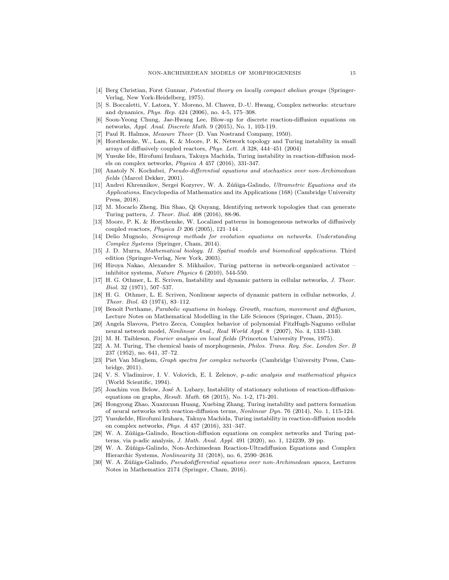- <span id="page-15-13"></span>[4] Berg Christian, Forst Gunnar, Potential theory on locally compact abelian groups (Springer-Verlag, New York-Heidelberg, 1975).
- [5] S. Boccaletti, V. Latora, Y. Moreno, M. Chavez, D.-U. Hwang, Complex networks: structure and dynamics, Phys. Rep. 424 (2006), no. 4-5, 175–308.
- <span id="page-15-2"></span>[6] Soon-Yeong Chung, Jae-Hwang Lee, Blow-up for discrete reaction-diffusion equations on networks, Appl. Anal. Discrete Math. 9 (2015), No. 1, 103-119.
- <span id="page-15-11"></span>[7] Paul R. Halmos, Measure Theor (D. Van Nostrand Company, 1950).
- [8] Horsthemke, W., Lam, K. & Moore, P. K. Network topology and Turing instability in small arrays of diffusively coupled reactors, Phys. Lett. A 328, 444–451 (2004)
- <span id="page-15-3"></span>Yusuke Ide, Hirofumi Izuhara, Takuya Machida, Turing instability in reaction-diffusion models on complex networks, Physica A 457 (2016), 331-347.
- <span id="page-15-15"></span>[10] Anatoly N. Kochubei, Pseudo-differential equations and stochastics over non-Archimedean fields (Marcel Dekker, 2001).
- <span id="page-15-14"></span>[11] Andrei Khrennikov, Sergei Kozyrev, W. A. Zúñiga-Galindo, Ultrametric Equations and its Applications, Encyclopedia of Mathematics and its Applications (168) (Cambridge University Press, 2018).
- <span id="page-15-4"></span>[12] M. Mocarlo Zheng, Bin Shao, Qi Ouyang, Identifying network topologies that can generate Turing pattern, J. Theor. Biol. 408 (2016), 88-96.
- [13] Moore, P. K. & Horsthemke, W. Localized patterns in homogeneous networks of diffusively coupled reactors,  $Physica$   $D$   $206$   $(2005)$ ,  $121-144$ .
- <span id="page-15-5"></span>[14] Delio Mugnolo, Semigroup methods for evolution equations on networks. Understanding Complex Systems (Springer, Cham, 2014).
- <span id="page-15-1"></span>[15] J. D. Murra, Mathematical biology. II. Spatial models and biomedical applications. Third edition (Springer-Verlag, New York, 2003).
- <span id="page-15-6"></span>[16] Hiroya Nakao, Alexander S. Mikhailov, Turing patterns in network-organized activator – inhibitor systems, Nature Physics 6 (2010), 544-550.
- [17] H. G. Othmer, L. E. Scriven, Instability and dynamic pattern in cellular networks, J. Theor. Biol. 32 (1971), 507–537.
- [18] H. G. Othmer, L. E. Scriven, Nonlinear aspects of dynamic pattern in cellular networks, J. Theor. Biol. 43 (1974), 83–112.
- [19] Benoît Perthame, *Parabolic equations in biology. Growth, reaction, movement and diffusion,* Lecture Notes on Mathematical Modelling in the Life Sciences (Springer, Cham, 2015).
- [20] Angela Slavova, Pietro Zecca, Complex behavior of polynomial FitzHugh-Nagumo cellular neural network model, Nonlinear Anal., Real World Appl. 8 (2007), No. 4, 1331-1340.
- <span id="page-15-9"></span><span id="page-15-0"></span>[21] M. H. Taibleson, Fourier analysis on local fields (Princeton University Press, 1975).
- [22] A. M. Turing, The chemical basis of morphogenesis, Philos. Trans. Roy. Soc. London Ser. B 237 (1952), no. 641, 37–72.
- [23] Piet Van Mieghem, Graph spectra for complex networks (Cambridge University Press, Cambridge, 2011).
- <span id="page-15-10"></span>[24] V. S. Vladimirov, I. V. Volovich, E. I. Zelenov, p-adic analysis and mathematical physics (World Scientific, 1994).
- [25] Joachim von Below, José A. Lubary, Instability of stationary solutions of reaction-diffusionequations on graphs, Result. Math. 68 (2015), No. 1-2, 171-201.
- <span id="page-15-7"></span>[26] Hongyong Zhao, Xuanxuan Huang, Xuebing Zhang, Turing instability and pattern formation of neural networks with reaction-diffusion terms, Nonlinear Dyn. 76 (2014), No. 1, 115-124.
- [27] YusukeIde, Hirofumi Izuhara, Takuya Machida, Turing instability in reaction-diffusion models on complex networks, Phys. A 457 (2016), 331–347.
- <span id="page-15-8"></span>[28] W. A. Zúñiga-Galindo, Reaction-diffusion equations on complex networks and Turing patterns, via p-adic analysis, J. Math. Anal. Appl. 491 (2020), no. 1, 124239, 39 pp.
- <span id="page-15-16"></span>[29] W. A. Zúñiga-Galindo, Non-Archimedean Reaction-Ultradiffusion Equations and Complex Hierarchic Systems, Nonlinearity 31 (2018), no. 6, 2590–2616.
- <span id="page-15-12"></span>[30] W. A. Zúñiga-Galindo, *Pseudodifferential equations over non-Archimedean spaces*, Lectures Notes in Mathematics 2174 (Springer, Cham, 2016).